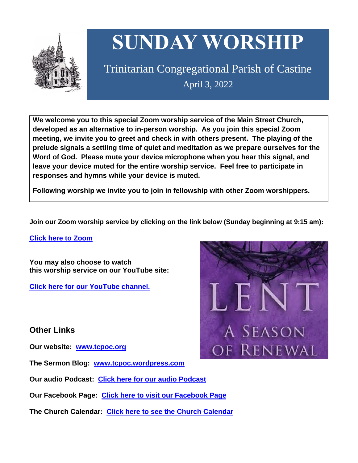

# **SUNDAY WORSHIP**

Trinitarian Congregational Parish of Castine April 3, 2022

**We welcome you to this special Zoom worship service of the Main Street Church, developed as an alternative to in-person worship. As you join this special Zoom meeting, we invite you to greet and check in with others present. The playing of the prelude signals a settling time of quiet and meditation as we prepare ourselves for the Word of God. Please mute your device microphone when you hear this signal, and leave your device muted for the entire worship service. Feel free to participate in responses and hymns while your device is muted.**

**Following worship we invite you to join in fellowship with other Zoom worshippers.**

**Join our Zoom worship service by clicking on the link below (Sunday beginning at 9:15 am):**

**Click here to [Zoom](https://us02web.zoom.us/j/89573448511?pwd=MFRuSFBJR2NWL015RzlyZ1UycmROQT09)**

**You may also choose to watch this worship service on our YouTube site:**

**Click here for our [YouTube](https://www.youtube.com/channel/UC4Bu-O6pN-bdPOqVNg0fBxA) channel.**

**Other Links**

**Our website: [www.tcpoc.org](http://www.tcpoc.org/)**

**The Sermon Blog: [www.tcpoc.wordpress.com](http://www.tcpoc.wordpress.com/)**

**Our audio Podcast: Click here for our audio [Podcast](https://podpoint.com/trinitarian-congregational-parish-of-castine-podcast)**

**Our Facebook Page: Click here to visit our [Facebook](https://www.facebook.com/tcpoc) Page**

**The Church Calendar: Click here to see the Church [Calendar](http://www.tcpoc.org/calendar.html)**

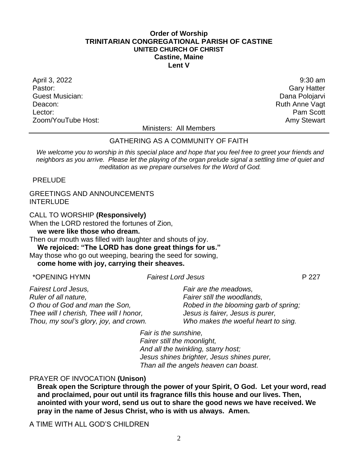#### **Order of Worship TRINITARIAN CONGREGATIONAL PARISH OF CASTINE UNITED CHURCH OF CHRIST Castine, Maine Lent V**

April 3, 2022 9:30 am Guest Musician: Dana Polojarvi Deacon: Ruth Anne Vagt Lector: **Pam Scott** Zoom/YouTube Host: Amy Stewart Communication and Amy Stewart

**Gary Hatter** 

Ministers: All Members

# GATHERING AS A COMMUNITY OF FAITH

*We welcome you to worship in this special place and hope that you feel free to greet your friends and neighbors as you arrive. Please let the playing of the organ prelude signal a settling time of quiet and meditation as we prepare ourselves for the Word of God.*

PRELUDE

#### GREETINGS AND ANNOUNCEMENTS **INTERLUDE**

CALL TO WORSHIP **(Responsively)**

When the LORD restored the fortunes of Zion,

**we were like those who dream.**

Then our mouth was filled with laughter and shouts of joy. **We rejoiced: "The LORD has done great things for us."**

May those who go out weeping, bearing the seed for sowing,

**come home with joy, carrying their sheaves.**

#### \*OPENING HYMN *Fairest Lord Jesus* P 227

*Fairest Lord Jesus, Ruler of all nature, O thou of God and man the Son, Thee will I cherish, Thee will I honor, Thou, my soul's glory, joy, and crown. Fair are the meadows, Fairer still the woodlands, Robed in the blooming garb of spring; Jesus is fairer, Jesus is purer, Who makes the woeful heart to sing.*

> *Fair is the sunshine, Fairer still the moonlight, And all the twinkling, starry host; Jesus shines brighter, Jesus shines purer, Than all the angels heaven can boast.*

# PRAYER OF INVOCATION **(Unison)**

**Break open the Scripture through the power of your Spirit, O God. Let your word, read and proclaimed, pour out until its fragrance fills this house and our lives. Then, anointed with your word, send us out to share the good news we have received. We pray in the name of Jesus Christ, who is with us always. Amen.**

A TIME WITH ALL GOD'S CHILDREN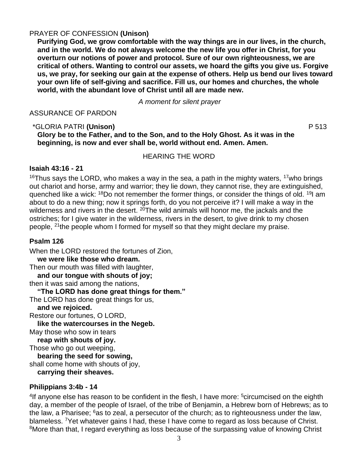# PRAYER OF CONFESSION **(Unison)**

**Purifying God, we grow comfortable with the way things are in our lives, in the church, and in the world. We do not always welcome the new life you offer in Christ, for you overturn our notions of power and protocol. Sure of our own righteousness, we are critical of others. Wanting to control our assets, we hoard the gifts you give us. Forgive us, we pray, for seeking our gain at the expense of others. Help us bend our lives toward your own life of self-giving and sacrifice. Fill us, our homes and churches, the whole world, with the abundant love of Christ until all are made new.**

*A moment for silent prayer*

ASSURANCE OF PARDON

#### \*GLORIA PATRI **(Unison)** P 513 **Glory be to the Father, and to the Son, and to the Holy Ghost. As it was in the beginning, is now and ever shall be, world without end. Amen. Amen.**

HEARING THE WORD

# **Isaiah 43:16 - 21**

<sup>16</sup>Thus says the LORD, who makes a way in the sea, a path in the mighty waters, <sup>17</sup>who brings out chariot and horse, army and warrior; they lie down, they cannot rise, they are extinguished, quenched like a wick: <sup>18</sup>Do not remember the former things, or consider the things of old. <sup>19</sup>I am about to do a new thing; now it springs forth, do you not perceive it? I will make a way in the wilderness and rivers in the desert.  $20$ The wild animals will honor me, the jackals and the ostriches; for I give water in the wilderness, rivers in the desert, to give drink to my chosen people, <sup>21</sup>the people whom I formed for myself so that they might declare my praise.

# **Psalm 126**

When the LORD restored the fortunes of Zion,

**we were like those who dream.** 

Then our mouth was filled with laughter,

**and our tongue with shouts of joy;**  then it was said among the nations,

**"The LORD has done great things for them."** 

The LORD has done great things for us,

**and we rejoiced.** 

Restore our fortunes, O LORD,

**like the watercourses in the Negeb.** 

May those who sow in tears

**reap with shouts of joy.** 

Those who go out weeping,

**bearing the seed for sowing,**  shall come home with shouts of joy, **carrying their sheaves.**

# **Philippians 3:4b - 14**

<sup>4</sup>If anyone else has reason to be confident in the flesh, I have more: <sup>5</sup>circumcised on the eighth day, a member of the people of Israel, of the tribe of Benjamin, a Hebrew born of Hebrews; as to the law, a Pharisee;  $6a$ s to zeal, a persecutor of the church; as to righteousness under the law, blameless. <sup>7</sup>Yet whatever gains I had, these I have come to regard as loss because of Christ. <sup>8</sup>More than that, I regard everything as loss because of the surpassing value of knowing Christ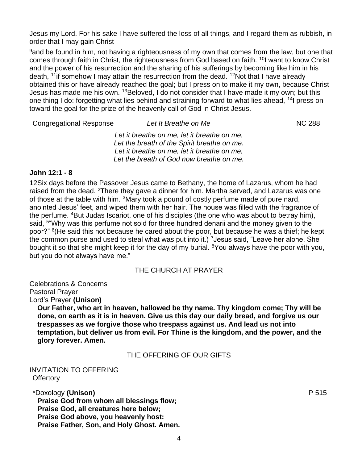Jesus my Lord. For his sake I have suffered the loss of all things, and I regard them as rubbish, in order that I may gain Christ

<sup>9</sup> and be found in him, not having a righteousness of my own that comes from the law, but one that comes through faith in Christ, the righteousness from God based on faith. <sup>10</sup>I want to know Christ and the power of his resurrection and the sharing of his sufferings by becoming like him in his death, <sup>11</sup> if somehow I may attain the resurrection from the dead. <sup>12</sup>Not that I have already obtained this or have already reached the goal; but I press on to make it my own, because Christ Jesus has made me his own. <sup>13</sup>Beloved, I do not consider that I have made it my own; but this one thing I do: forgetting what lies behind and straining forward to what lies ahead, <sup>14</sup>I press on toward the goal for the prize of the heavenly call of God in Christ Jesus.

**Congregational Response** *Let It Breathe on Me* **NC 288** 

*Let it breathe on me, let it breathe on me, Let the breath of the Spirit breathe on me. Let it breathe on me, let it breathe on me, Let the breath of God now breathe on me.*

# **John 12:1 - 8**

12Six days before the Passover Jesus came to Bethany, the home of Lazarus, whom he had raised from the dead. <sup>2</sup>There they gave a dinner for him. Martha served, and Lazarus was one of those at the table with him. <sup>3</sup>Mary took a pound of costly perfume made of pure nard, anointed Jesus' feet, and wiped them with her hair. The house was filled with the fragrance of the perfume. <sup>4</sup>But Judas Iscariot, one of his disciples (the one who was about to betray him), said, <sup>5</sup>"Why was this perfume not sold for three hundred denarii and the money given to the poor?" <sup>6</sup>(He said this not because he cared about the poor, but because he was a thief; he kept the common purse and used to steal what was put into it.) <sup>7</sup> Jesus said, "Leave her alone. She bought it so that she might keep it for the day of my burial. <sup>8</sup>You always have the poor with you, but you do not always have me."

# THE CHURCH AT PRAYER

Celebrations & Concerns Pastoral Prayer

Lord's Prayer **(Unison)**

**Our Father, who art in heaven, hallowed be thy name. Thy kingdom come; Thy will be done, on earth as it is in heaven. Give us this day our daily bread, and forgive us our trespasses as we forgive those who trespass against us. And lead us not into temptation, but deliver us from evil. For Thine is the kingdom, and the power, and the glory forever. Amen.**

# THE OFFERING OF OUR GIFTS

# INVITATION TO OFFERING **Offertory**

\*Doxology **(Unison)** P 515 **Praise God from whom all blessings flow; Praise God, all creatures here below; Praise God above, you heavenly host: Praise Father, Son, and Holy Ghost. Amen.**